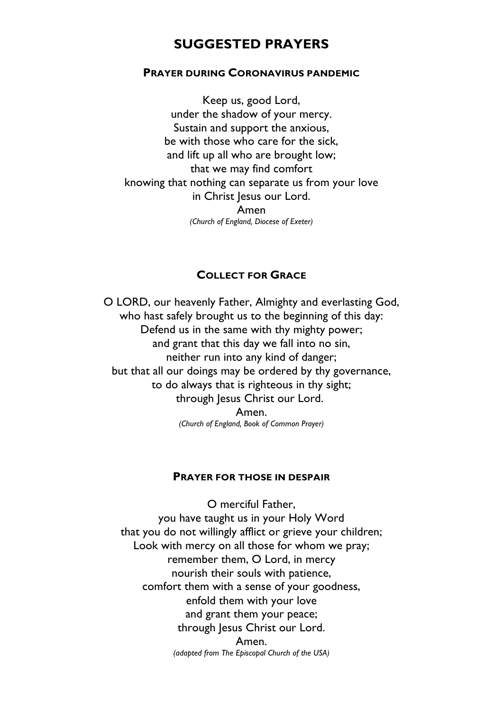# **SUGGESTED PRAYERS**

#### **PRAYER DURING CORONAVIRUS PANDEMIC**

Keep us, good Lord, under the shadow of your mercy. Sustain and support the anxious, be with those who care for the sick, and lift up all who are brought low; that we may find comfort knowing that nothing can separate us from your love in Christ Jesus our Lord. Amen *(Church of England, Diocese of Exeter)*

#### **COLLECT FOR GRACE**

O LORD, our heavenly Father, Almighty and everlasting God, who hast safely brought us to the beginning of this day: Defend us in the same with thy mighty power; and grant that this day we fall into no sin, neither run into any kind of danger; but that all our doings may be ordered by thy governance, to do always that is righteous in thy sight; through Jesus Christ our Lord. Amen. *(Church of England, Book of Common Prayer)*

#### **PRAYER FOR THOSE IN DESPAIR**

O merciful Father, you have taught us in your Holy Word that you do not willingly afflict or grieve your children; Look with mercy on all those for whom we pray; remember them, O Lord, in mercy nourish their souls with patience, comfort them with a sense of your goodness, enfold them with your love and grant them your peace; through Jesus Christ our Lord.

> Amen. *(adapted from The Episcopal Church of the USA)*